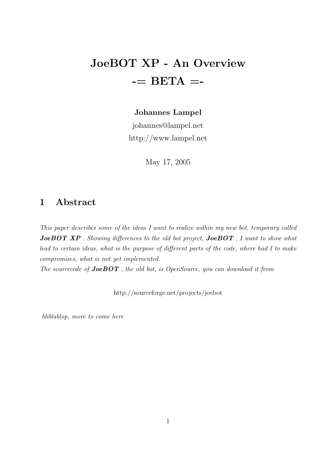# JoeBOT XP - An Overview  $==$  BETA  $==$

#### Johannes Lampel

johannes@lampel.net http://www.lampel.net

May 17, 2005

## 1 Abstract

This paper describes some of the ideas I want to realize within my new bot, temporary called **JoeBOT XP** . Showing differences to the old bot project, **JoeBOT**, I want to show what lead to certain ideas, what is the purpose of different parts of the code, where had I to make compromises, what is not yet implemented.

The sourcecode of **JoeBOT**, the old bot, is OpenSource, you can download it from

http://sourceforge.net/projects/joebot

bliblablop, more to come here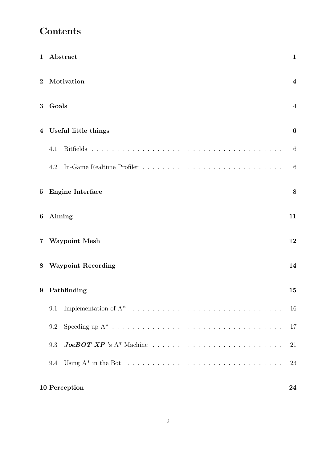## Contents

| 1        | Abstract                                                                                                     | $\mathbf{1}$            |
|----------|--------------------------------------------------------------------------------------------------------------|-------------------------|
| $\bf{2}$ | Motivation                                                                                                   | $\overline{4}$          |
| 3        | Goals                                                                                                        | $\overline{\mathbf{4}}$ |
|          | 4 Useful little things                                                                                       | $\boldsymbol{6}$        |
|          | 4.1<br><b>Bitfields</b>                                                                                      | 6                       |
|          | 4.2                                                                                                          | 6                       |
| $\bf{5}$ | <b>Engine Interface</b>                                                                                      | 8                       |
| 6        | Aiming                                                                                                       | 11                      |
|          | 7 Waypoint Mesh                                                                                              | 12                      |
|          | 8 Waypoint Recording                                                                                         | 14                      |
| 9        | Pathfinding                                                                                                  | 15                      |
|          | 9.1                                                                                                          | 16                      |
|          | 9.2                                                                                                          | 17                      |
|          | 9.3                                                                                                          | 21                      |
|          | Using $A^*$ in the Bot $\ldots \ldots \ldots \ldots \ldots \ldots \ldots \ldots \ldots \ldots \ldots$<br>9.4 | 23                      |
|          | 10 Perception                                                                                                | 24                      |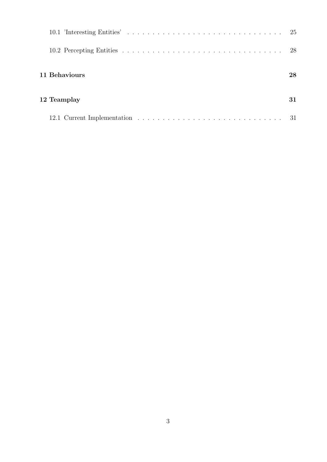|               | -28 |
|---------------|-----|
| 11 Behaviours | 28  |
| 12 Teamplay   | 31  |
|               |     |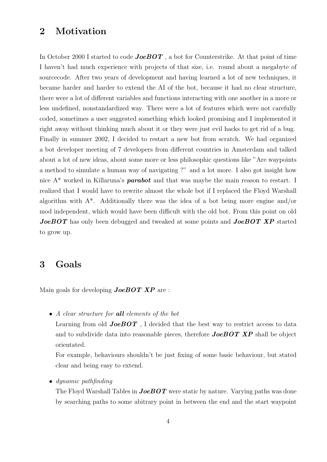## 2 Motivation

In October 2000 I started to code **JoeBOT**, a bot for Counterstrike. At that point of time I haven't had much experience with projects of that size, i.e. round about a megabyte of sourcecode. After two years of development and having learned a lot of new techniques, it became harder and harder to extend the AI of the bot, because it had no clear structure, there were a lot of different variables and functions interacting with one another in a more or less undefined, nonstandardized way. There were a lot of features which were not carefully coded, sometimes a user suggested something which looked promising and I implemented it right away without thinking much about it or they were just evil hacks to get rid of a bug. Finally in summer 2002, I decided to restart a new bot from scratch. We had organized a bot developer meeting of 7 developers from different countries in Amsterdam and talked about a lot of new ideas, about some more or less philosophic questions like "Are waypoints a method to simulate a human way of navigating ?" and a lot more. I also got insight how nice A<sup>\*</sup> worked in Killaruna's **parabot** and that was maybe the main reason to restart. I realized that I would have to rewrite almost the whole bot if I replaced the Floyd Warshall algorithm with A\*. Additionally there was the idea of a bot being more engine and/or mod independent, which would have been difficult with the old bot. From this point on old JoeBOT has only been debugged and tweaked at some points and JoeBOT XP started to grow up.

### 3 Goals

Main goals for developing  $JoeBOT$   $XP$  are :

• A clear structure for **all** elements of the bot

Learning from old **JoeBOT**, I decided that the best way to restrict access to data and to subdivide data into reasonable pieces, therefore **JoeBOT XP** shall be object orientated.

For example, behaviours shouldn't be just fixing of some basic behaviour, but stated clear and being easy to extend.

• dynamic pathfinding

The Floyd Warshall Tables in  $JoeBOT$  were static by nature. Varying paths was done by searching paths to some abitrary point in between the end and the start waypoint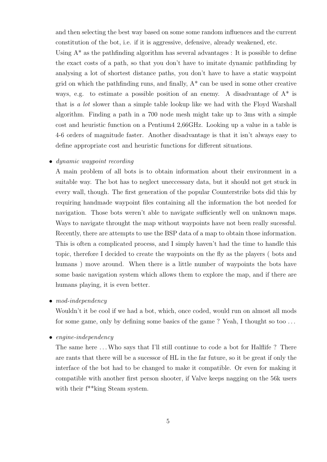and then selecting the best way based on some some random influences and the current constitution of the bot, i.e. if it is aggressive, defensive, already weakened, etc.

Using  $A^*$  as the pathfinding algorithm has several advantages : It is possible to define the exact costs of a path, so that you don't have to imitate dynamic pathfinding by analysing a lot of shortest distance paths, you don't have to have a static waypoint grid on which the pathfinding runs, and finally,  $A^*$  can be used in some other creative ways, e.g. to estimate a possible position of an enemy. A disadvantage of  $A^*$  is that is a lot slower than a simple table lookup like we had with the Floyd Warshall algorithm. Finding a path in a 700 node mesh might take up to 3ms with a simple cost and heuristic function on a Pentium4 2,66GHz. Looking up a value in a table is 4-6 orders of magnitude faster. Another disadvantage is that it isn't always easy to define appropriate cost and heuristic functions for different situations.

#### • dynamic waypoint recording

A main problem of all bots is to obtain information about their environment in a suitable way. The bot has to neglect uneccessary data, but it should not get stuck in every wall, though. The first generation of the popular Counterstrike bots did this by requiring handmade waypoint files containing all the information the bot needed for navigation. Those bots weren't able to navigate sufficiently well on unknown maps. Ways to navigate throught the map without waypoints have not been really sucessful. Recently, there are attempts to use the BSP data of a map to obtain those information. This is often a complicated process, and I simply haven't had the time to handle this topic, therefore I decided to create the waypoints on the fly as the players ( bots and humans) move around. When there is a little number of waypoints the bots have some basic navigation system which allows them to explore the map, and if there are humans playing, it is even better.

• mod-independency

Wouldn't it be cool if we had a bot, which, once coded, would run on almost all mods for some game, only by defining some basics of the game ? Yeah, I thought so too . . .

• engine-independency

The same here ... Who says that I'll still continue to code a bot for Halflife ? There are rants that there will be a sucessor of HL in the far future, so it be great if only the interface of the bot had to be changed to make it compatible. Or even for making it compatible with another first person shooter, if Valve keeps nagging on the 56k users with their  $f^*$ king Steam system.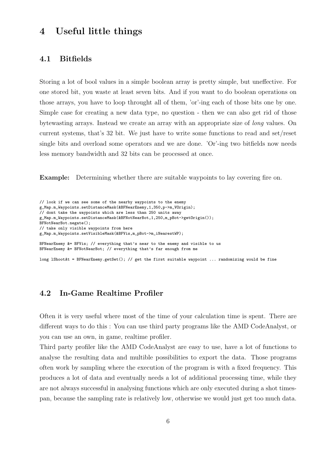## 4 Useful little things

#### 4.1 Bitfields

Storing a lot of bool values in a simple boolean array is pretty simple, but uneffective. For one stored bit, you waste at least seven bits. And if you want to do boolean operations on those arrays, you have to loop throught all of them, 'or'-ing each of those bits one by one. Simple case for creating a new data type, no question - then we can also get rid of those bytewasting arrays. Instead we create an array with an appropriate size of long values. On current systems, that's 32 bit. We just have to write some functions to read and set/reset single bits and overload some operators and we are done. 'Or'-ing two bitfields now needs less memory bandwidth and 32 bits can be processed at once.

Example: Determining whether there are suitable waypoints to lay covering fire on.

```
// look if we can see some of the nearby waypoints to the enemy
g_Map.m_Waypoints.setDistanceMask(&BFNearEnemy,1,350,p->m_VOrigin);
// dont take the waypoints which are less than 250 units away
g_Map.m_Waypoints.setDistanceMask(&BFNotNearBot,1,250,m_pBot->getOrigin());
BFNotNearBot.negate();
// take only visible waypoints from here
g_Map.m_Waypoints.setVisibleMask(&BFVis,m_pBot->m_iNearestWP);
BFNearEnemy k= BFVis; // everything that's near to the enemy and visible to us
BFNearEnemy &= BFNotNearBot; // everything that's far enough from me
long lShootAt = BFNearEnemy.getSet(); // get the first suitable waypoint ... randomizing would be fine
```
#### 4.2 In-Game Realtime Profiler

Often it is very useful where most of the time of your calculation time is spent. There are different ways to do this : You can use third party programs like the AMD CodeAnalyst, or you can use an own, in game, realtime profiler.

Third party profiler like the AMD CodeAnalyst are easy to use, have a lot of functions to analyse the resulting data and multible possibilities to export the data. Those programs often work by sampling where the execution of the program is with a fixed frequency. This produces a lot of data and eventually needs a lot of additional processing time, while they are not always successful in analysing functions which are only executed during a shot timespan, because the sampling rate is relatively low, otherwise we would just get too much data.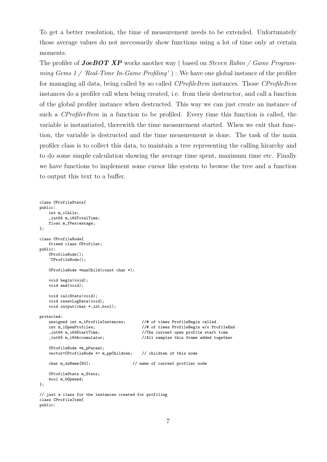To get a better resolution, the time of measurement needs to be extended. Unfortunately those average values do not neccessarily show functions using a lot of time only at certain moments.

The profiler of **JoeBOT XP** works another way (based on *Steven Rabin / Game Program*ming Gems 1 / 'Real-Time In-Game Profiling') : We have one global instance of the profiler for managing all data, being called by so called CProfileItem instances. Those CProfileItem instances do a profiler call when being created, i.e. from their destructor, and call a function of the global profiler instance when destructed. This way we can just create an instance of such a CProfilerItem in a function to be profiled. Every time this function is called, the variable is instantiated, therewith the time measurement started. When we exit that function, the variable is destructed and the time measurement is done. The task of the main profiler class is to collect this data, to maintain a tree representing the calling hirarchy and to do some simple calculation showing the average time spent, maximum time etc. Finally we have functions to implement some cursor like system to browse the tree and a function to output this text to a buffer.

```
class CProfileStats{
public:
    int m_iCalls;
    _int64 m_i64TotalTime;
    float m_fPercentage;
};
class CProfileNode{
    friend class CProfiler;
public:
    CProfileNode();
    ~CProfileNode();
    CProfileNode *hasChild(const char *);
    void begin(void);
    void end(void);
    void calcStats(void);
    void resetLogData(void);
    void output(char *,int,bool);
protected:
    unsigned int m_iProfileInstances; //# of times ProfileBegin called
    int m_iOpenProfiles; <br> \frac{1}{4} of times ProfileBegin w/o ProfileEnd<br> \frac{1}{1000} //The current open profile start time
    _int64 m_i64StartTime; //The current open profile start time
                                            //All samples this frame added together
    CProfileNode *m_pParent;
    vector<CProfileNode *> m_ppChildren; // children of this node
    char m_szName[80]; // name of current profiler node
    CProfileStats m_Stats;
    bool m_bOpened;
};
// just a class for the instances created for profiling
class CProfileItem{
public:
```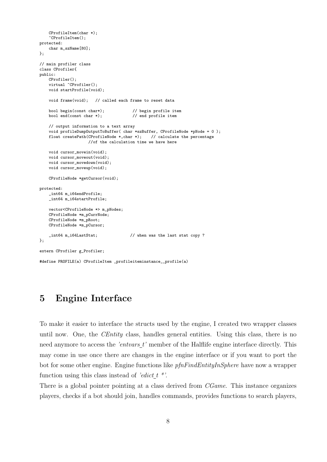```
CProfileItem(char *);
    ~CProfileItem();
protected:
   char m_szName[80];
};
// main profiler class
class CProfiler{
public:
    CProfiler();
    virtual "CProfiler();
   void startProfile(void);
   void frame(void); // called each frame to reset data
    bool begin(const char*); // begin profile item
   bool end(const char *); \frac{1}{2} // end profile item
    // output information to a text array
   void profileDumpOutputToBuffer( char *szBuffer, CProfileNode *pNode = 0 );
   float createPath(CProfileNode *,char *); // calculate the percentage
                    //of the calculation time we have here
   void cursor_movein(void);
   void cursor_moveout(void);
    void cursor_movedown(void);
    void cursor_moveup(void);
   CProfileNode *getCursor(void);
protected:
    _int64 m_i64endProfile;
    _int64 m_i64startProfile;
    vector<CProfileNode *> m_pNodes;
   CProfileNode *m_pCurrNode;
    CProfileNode *m_pRoot;
    CProfileNode *m_pCursor;
    _int64 m_i64LastStat; // when was the last stat copy ?
};
extern CProfiler g_Profiler;
#define PROFILE(a) CProfileItem _profileiteminstance__profile(a)
```
## 5 Engine Interface

To make it easier to interface the structs used by the engine, I created two wrapper classes until now. One, the *CEntity* class, handles general entities. Using this class, there is no need anymore to access the 'entvars\_t' member of the Halflife engine interface directly. This may come in use once there are changes in the engine interface or if you want to port the bot for some other engine. Engine functions like *pfnFindEntityInSphere* have now a wrapper function using this class instead of 'edict  $t^*$ '.

There is a global pointer pointing at a class derived from *CGame*. This instance organizes players, checks if a bot should join, handles commands, provides functions to search players,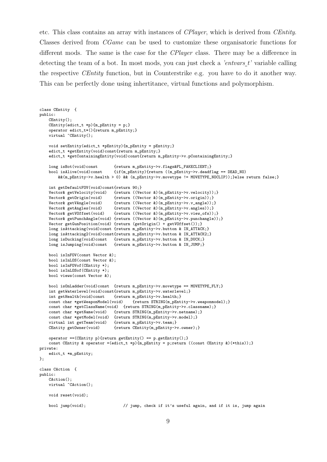etc. This class contains an array with instances of CPlayer, which is derived from CEntity. Classes derived from CGame can be used to customize these organisatoric functions for different mods. The same is the case for the *CPlayer* class. There may be a difference in detecting the team of a bot. In most mods, you can just check a *'entvars t'* variable calling the respective CEntity function, but in Counterstrike e.g. you have to do it another way. This can be perfectly done using inhertitance, virtual functions and polymorphism.

```
class CEntity {
public:
    CEntity();
    CEntity(edict_t *p){m_pEntity = p;}
    operator edict_t*(){return m_pEntity;}
    virtual "CEntity();
    void setEntity(edict_t *pEntity){m_pEntity = pEntity;}
    edict_t *getEntity(void)const{return m_pEntity;}
    edict_t *getContainingEntity(void)const{return m_pEntity->v.pContainingEntity;}
    \begin{tabular}{ll} long \emph{ is} Bot (void) const & \emph{ \texttt{return} m_pEntity->> flags\&FL_FAKECLIENT;} \\ bool \emph{ is} Alice (void) const & \emph{ \texttt{if} (m_pEntity) \texttt{freturn} ( (m_pEntity->> c deadf) )} \\ \end{tabular}\{if(m\_pEntity)\{return ((m\_pEntity->v.deadflag == DEAD_NO)&&(m_pEntity->v.health > 0) && (m_pEntity->v.movetype != MOVETYPE_NOCLIP));}else return false;}
    int getDefaultFOV(void)const{return 90;}
    Vector& getVelocity(void) {return ((Vector &)(m_pEntity->v.velocity));}<br>Vector& getOrigin(void) {return ((Vector &)(m_pEntity->v.origin));}
    Vector& getOrigin(void) {return ((Vector &)(m_pEntity->v.origin));}<br>Vector& getVAngle(void) {return ((Vector &)(m_pEntity->v.v_angle));
    Vector& getVAngle(void) {return ((Vector &)(m_pEntity->v.v_angle));}<br>Vector& getAngles(void) {return ((Vector &)(m pEntity->v.angles));}
                                   \{ return ((Vector &)(m_pEntity->v.angles));}
    Vector& getVOffset(void) {return ((Vector &)(m_pEntity->v.view_ofs));}
    Vector& getPunchAngle(void) {return ((Vector &)(m_pEntity->v.punchangle));}
    Vector getGunPosition(void) {return (getOrigin() + getVOffset());}
    long isAttacking(void)const {return m_pEntity->v.button & IN_ATTACK;}
    long isAttacking2(void)const{return m_pEntity->v.button & IN_ATTACK2;}
    long isDucking(void)const {return m_pEntity->v.button & IN_DUCK;}
    long isJumping(void)const {return m_pEntity->v.button & IN_JUMP;}
    bool isInFOV(const Vector &);
    bool isInLOS(const Vector &);
    bool isInFOVof(CEntity *);
    bool isInLOSof(CEntity *);
    bool views(const Vector &);
    bool isOnLadder(void)const {return m_pEntity->v.movetype == MOVETYPE_FLY;}
    int getWaterlevel(void)const{return m_pEntity->v.waterlevel;}
    int getHealth(void)const {return m_pEntity->v.health;}
    const char *getWeaponModel(void) {return STRING(m_pEntity->v.weaponmodel);}
    const char *getClassName(void) {return STRING(m_pEntity->v.classname);}
    const char *getName(void) {return STRING(m_pEntity->v.netname);}
    const char *getModel(void) {return STRING(m_pEntity->v.model);}
    virtual int getTeam(void) {return m_pEntity->v.team;}<br>CEntity getOwner(void) {return CEntity(m_pEntity->
                                    {return CEntity(m_pEntity->v.owner);}
    operator ==(CEntity p){return getEntity() == p.getEntity();}
    const CEntity & operator =(edict_t *p){m_pEntity = p;return ((const CEntity &)(*this));}
private:
    edict_t *m_pEntity;
};
class CAction {
public:
    CAction();
    virtual "CAction();
    void reset(void);
    bool jump(void); // jump, check if it's useful again, and if it is, jump again
```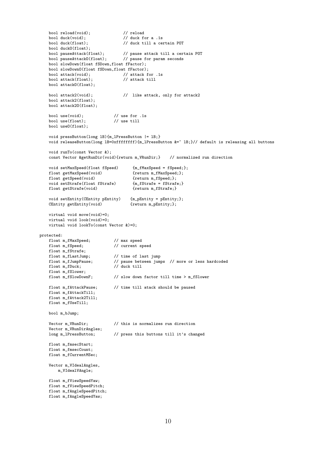```
bool reload(void); <br>bool duck(void); <br>// duck f
    bool duck(void); <br> \frac{1}{10} // duck for a .1s<br> bool duck(float); <br> // duck till a ce
                                       // duck till a certain POT
    bool duckO(float);<br>bool pauseAttack(float);
    bool pauseAttack(float); // pause attack till a certain POT
    bool pauseAttackO(float); // pause for param seconds
    bool slowDown(float fSDown,float fFactor);
    bool slowDownO(float fSDown,float fFactor);<br>bool attack(void): // attack f
                                     // attack for .1s<br>// attack till
    bool attack (float);
    bool attackO(float);
    bool attack2(void); // like attack, only for attack2
    bool attack2(float);
    bool attack2O(float);
    bool use(void); // use for .1s
    bool use(float); // use till
    bool useO(float);
    void pressButton(long lB){m_lPressButton |= lB;}
    void releaseButton(long lB=0xfffffffff){m_lPressButton &=" lB;}// default is releasing all buttons
    void runTo(const Vector &);
    const Vector &getRunDir(void){return m_VRunDir;} // normalized run direction
    void setMaxSpeed(float fSpeed) {m_fMaxSpeed = fSpeed;\};<br>float getMaxSpeed(void) {return m_fMaxSpeed;};
    float getMaxSpeed(void)
    float getSpeed(void) {return m_fSpeed;};<br>void setStrafe(float fStrafe) {m_fStrafe = fStrafe;}
    void setStrafe(float fStrafe) {m_fStrafe = fStraf<br>float getStrafe(void) {return m_fStrafe;}
    float getStrafe(void)
    void setEntity(CEntity pEntity) {m_pEntity = pEntity;};
    CEntity getEntity(void) {return m_pEntity;};
    virtual void move(void)=0;
    virtual void look(void)=0;
    virtual void lookTo(const Vector &)=0;
protected:
    float m_fMaxSpeed; // max speed
    float m_fSpeed; // current speed
    float m_fStrafe;<br>float m_fLastJump;
                                 // time of last jump
    float m_fJumpPause; // pause between jumps // more or less hardcoded<br>float m fDuck: // duck till
    float_m_fDuck;float m_fSlower;
    float m_fSlowDownF; // slow down factor till time > m_fSlower
    float m_fAttackPause; // time till atack should be paused
    float m fAttackTill:
    float m_fAttack2Till;
    float m_fUseTill;
    bool m_bJump;
    Vector m_VRunDir; // this is normalizes run direction
    Vector m_VRunDirAngles;<br>long m_lPressButton;
                                 \frac{1}{2} press this buttons till it's changed
    float m_fmsecStart;
    float m_fmsecCount;
    float m_fCurrentMSec;
    Vector m_VIdealAngles,
        m_VIdealVAngle;
    float m_fViewSpeedYaw;
    float m_fViewSpeedPitch;
    float m_fAngleSpeedPitch;
    float m_fAngleSpeedYaw;
```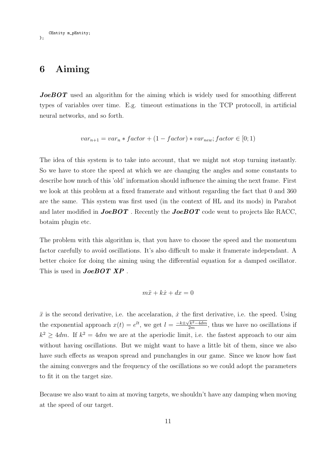CEntity m\_pEntity; };

### 6 Aiming

**JoeBOT** used an algorithm for the aiming which is widely used for smoothing different types of variables over time. E.g. timeout estimations in the TCP protocoll, in artificial neural networks, and so forth.

$$
var_{n+1} = var_n * factor + (1 - factor) * var_{new}; factor \in [0; 1)
$$

The idea of this system is to take into account, that we might not stop turning instantly. So we have to store the speed at which we are changing the angles and some constants to describe how much of this 'old' information should influence the aiming the next frame. First we look at this problem at a fixed framerate and without regarding the fact that 0 and 360 are the same. This system was first used (in the context of HL and its mods) in Parabot and later modified in  $JoeBOT$ . Recently the  $JoeBOT$  code went to projects like RACC, botaim plugin etc.

The problem with this algorithm is, that you have to choose the speed and the momentum factor carefully to avoid oscillations. It's also difficult to make it framerate independant. A better choice for doing the aiming using the differential equation for a damped oscillator. This is used in **JoeBOT XP**.

$$
m\ddot{x} + k\dot{x} + dx = 0
$$

 $\ddot{x}$  is the second derivative, i.e. the accelaration,  $\dot{x}$  the first derivative, i.e. the speed. Using the exponential approach  $x(t) = e^{lt}$ , we get  $l = \frac{-k \pm \sqrt{k^2 - 4dm}}{2m}$  $\frac{2k^2-4dm}{2m}$ , thus we have no oscillations if  $k^2 \geq 4dm$ . If  $k^2 = 4dm$  we are at the aperiodic limit, i.e. the fastest approach to our aim without having oscillations. But we might want to have a little bit of them, since we also have such effects as weapon spread and punchangles in our game. Since we know how fast the aiming converges and the frequency of the oscillations so we could adopt the parameters to fit it on the target size.

Because we also want to aim at moving targets, we shouldn't have any damping when moving at the speed of our target.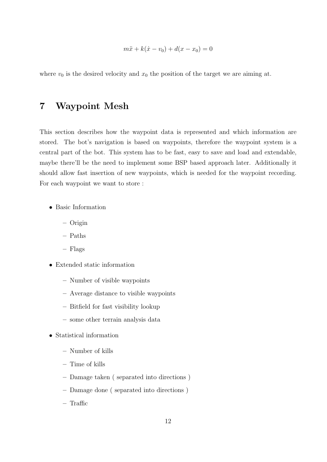$$
m\ddot{x} + k(\dot{x} - v_0) + d(x - x_0) = 0
$$

where  $v_0$  is the desired velocity and  $x_0$  the position of the target we are aiming at.

## 7 Waypoint Mesh

This section describes how the waypoint data is represented and which information are stored. The bot's navigation is based on waypoints, therefore the waypoint system is a central part of the bot. This system has to be fast, easy to save and load and extendable, maybe there'll be the need to implement some BSP based approach later. Additionally it should allow fast insertion of new waypoints, which is needed for the waypoint recording. For each waypoint we want to store :

- Basic Information
	- Origin
	- Paths
	- Flags
- Extended static information
	- Number of visible waypoints
	- Average distance to visible waypoints
	- Bitfield for fast visibility lookup
	- some other terrain analysis data
- Statistical information
	- Number of kills
	- Time of kills
	- Damage taken ( separated into directions )
	- Damage done ( separated into directions )
	- Traffic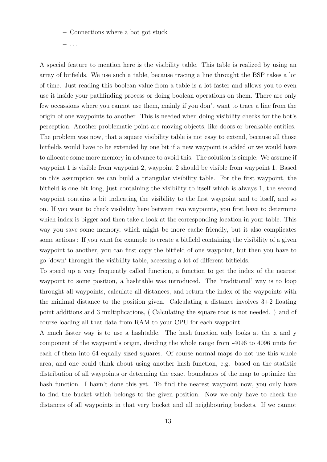– Connections where a bot got stuck

 $-$  ...

A special feature to mention here is the visibility table. This table is realized by using an array of bitfields. We use such a table, because tracing a line throught the BSP takes a lot of time. Just reading this boolean value from a table is a lot faster and allows you to even use it inside your pathfinding process or doing boolean operations on them. There are only few occassions where you cannot use them, mainly if you don't want to trace a line from the origin of one waypoints to another. This is needed when doing visibility checks for the bot's perception. Another problematic point are moving objects, like doors or breakable entities. The problem was now, that a square visibility table is not easy to extend, because all those bitfields would have to be extended by one bit if a new waypoint is added or we would have to allocate some more memory in advance to avoid this. The solution is simple: We assume if waypoint 1 is visible from waypoint 2, waypoint 2 should be visible from waypoint 1. Based on this assumption we can build a triangular visibility table. For the first waypoint, the bitfield is one bit long, just containing the visibility to itself which is always 1, the second waypoint contains a bit indicating the visibility to the first waypoint and to itself, and so on. If you want to check visibility here between two waypoints, you first have to determine which index is bigger and then take a look at the corresponding location in your table. This way you save some memory, which might be more cache friendly, but it also complicates some actions : If you want for example to create a bitfield containing the visibility of a given waypoint to another, you can first copy the bitfield of one waypoint, but then you have to go 'down' throught the visibility table, accessing a lot of different bitfields.

To speed up a very frequently called function, a function to get the index of the nearest waypoint to some position, a hashtable was introduced. The 'traditional' way is to loop throught all waypoints, calculate all distances, and return the index of the waypoints with the minimal distance to the position given. Calculating a distance involves  $3+2$  floating point additions and 3 multiplications, ( Calculating the square root is not needed. ) and of course loading all that data from RAM to your CPU for each waypoint.

A much faster way is to use a hashtable. The hash function only looks at the x and y component of the waypoint's origin, dividing the whole range from -4096 to 4096 units for each of them into 64 equally sized squares. Of course normal maps do not use this whole area, and one could think about using another hash function, e.g. based on the statistic distribution of all waypoints or determing the exact boundaries of the map to optimize the hash function. I havn't done this yet. To find the nearest waypoint now, you only have to find the bucket which belongs to the given position. Now we only have to check the distances of all waypoints in that very bucket and all neighbouring buckets. If we cannot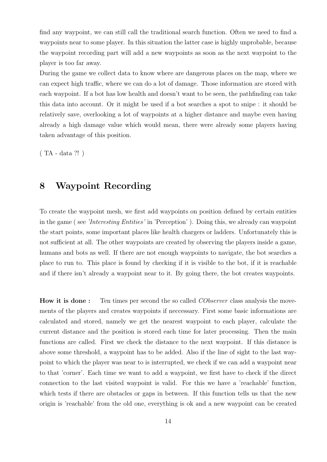find any waypoint, we can still call the traditional search function. Often we need to find a waypoints near to some player. In this situation the latter case is highly unprobable, because the waypoint recording part will add a new waypoints as soon as the next waypoint to the player is too far away.

During the game we collect data to know where are dangerous places on the map, where we can expect high traffic, where we can do a lot of damage. Those information are stored with each waypoint. If a bot has low health and doesn't want to be seen, the pathfinding can take this data into account. Or it might be used if a bot searches a spot to snipe : it should be relatively save, overlooking a lot of waypoints at a higher distance and maybe even having already a high damage value which would mean, there were already some players having taken advantage of this position.

( TA - data ?! )

## 8 Waypoint Recording

To create the waypoint mesh, we first add waypoints on position defined by certain entities in the game ( see 'Interesting Entities' in 'Perception' ). Doing this, we already can waypoint the start points, some important places like health chargers or ladders. Unfortunately this is not sufficient at all. The other waypoints are created by observing the players inside a game, humans and bots as well. If there are not enough waypoints to navigate, the bot searches a place to run to. This place is found by checking if it is visible to the bot, if it is reachable and if there isn't already a waypoint near to it. By going there, the bot creates waypoints.

How it is done: Ten times per second the so called *CObserver* class analysis the movements of the players and creates waypoints if neccessary. First some basic informations are calculated and stored, namely we get the nearest waypoint to each player, calculate the current distance and the position is stored each time for later processing. Then the main functions are called. First we check the distance to the next waypoint. If this distance is above some threshold, a waypoint has to be added. Also if the line of sight to the last waypoint to which the player was near to is interrupted, we check if we can add a waypoint near to that 'corner'. Each time we want to add a waypoint, we first have to check if the direct connection to the last visited waypoint is valid. For this we have a 'reachable' function, which tests if there are obstacles or gaps in between. If this function tells us that the new origin is 'reachable' from the old one, everything is ok and a new waypoint can be created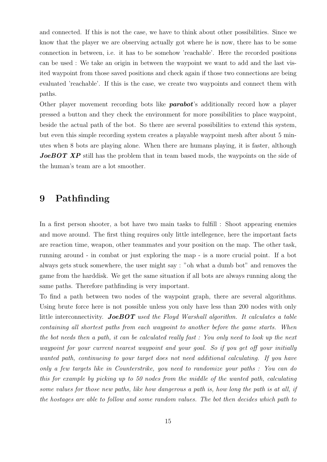and connected. If this is not the case, we have to think about other possibilities. Since we know that the player we are observing actually got where he is now, there has to be some connection in between, i.e. it has to be somehow 'reachable'. Here the recorded positions can be used : We take an origin in between the waypoint we want to add and the last visited waypoint from those saved positions and check again if those two connections are being evaluated 'reachable'. If this is the case, we create two waypoints and connect them with paths.

Other player movement recording bots like **parabot**'s additionally record how a player pressed a button and they check the environment for more possibilities to place waypoint, beside the actual path of the bot. So there are several possibilities to extend this system, but even this simple recording system creates a playable waypoint mesh after about 5 minutes when 8 bots are playing alone. When there are humans playing, it is faster, although JoeBOT XP still has the problem that in team based mods, the waypoints on the side of the human's team are a lot smoother.

### 9 Pathfinding

In a first person shooter, a bot have two main tasks to fulfill : Shoot appearing enemies and move around. The first thing requires only little intellegence, here the important facts are reaction time, weapon, other teammates and your position on the map. The other task, running around - in combat or just exploring the map - is a more crucial point. If a bot always gets stuck somewhere, the user might say : "oh what a dumb bot" and removes the game from the harddisk. We get the same situation if all bots are always running along the same paths. Therefore pathfinding is very important.

To find a path between two nodes of the waypoint graph, there are several algorithms. Using brute force here is not possible unless you only have less than 200 nodes with only little interconnectivity. JoeBOT used the Floyd Warshall algorithm. It calculates a table containing all shortest paths from each waypoint to another before the game starts. When the bot needs then a path, it can be calculated really fast : You only need to look up the next waypoint for your current nearest waypoint and your goal. So if you get off your initially wanted path, continueing to your target does not need additional calculating. If you have only a few targets like in Counterstrike, you need to randomize your paths : You can do this for example by picking up to 50 nodes from the middle of the wanted path, calculating some values for those new paths, like how dangerous a path is, how long the path is at all, if the hostages are able to follow and some random values. The bot then decides which path to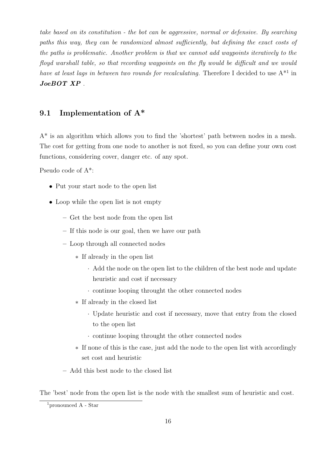take based on its constitution - the bot can be aggressive, normal or defensive. By searching paths this way, they can be randomized almost sufficiently, but defining the exact costs of the paths is problematic. Another problem is that we cannot add waypoints iteratively to the floyd warshall table, so that recording waypoints on the fly would be difficult and we would have at least lags in between two rounds for recalculating. Therefore I decided to use  $A^{*1}$  in JoeBOT XP .

#### 9.1 Implementation of A\*

A\* is an algorithm which allows you to find the 'shortest' path between nodes in a mesh. The cost for getting from one node to another is not fixed, so you can define your own cost functions, considering cover, danger etc. of any spot.

Pseudo code of A\*:

- Put your start node to the open list
- Loop while the open list is not empty
	- Get the best node from the open list
	- If this node is our goal, then we have our path
	- Loop through all connected nodes
		- ∗ If already in the open list
			- · Add the node on the open list to the children of the best node and update heuristic and cost if necessary
			- · continue looping throught the other connected nodes
		- ∗ If already in the closed list
			- · Update heuristic and cost if necessary, move that entry from the closed to the open list
			- · continue looping throught the other connected nodes
		- ∗ If none of this is the case, just add the node to the open list with accordingly set cost and heuristic
	- Add this best node to the closed list

The 'best' node from the open list is the node with the smallest sum of heuristic and cost.

<sup>&</sup>lt;sup>1</sup>pronounced  $A - Star$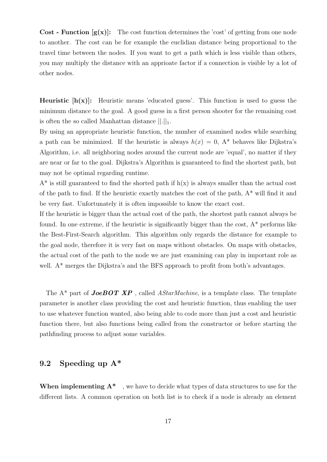**Cost** - **Function**  $[g(x)]$ : The cost function determines the 'cost' of getting from one node to another. The cost can be for example the euclidian distance being proportional to the travel time between the nodes. If you want to get a path which is less visible than others, you may multiply the distance with an apprioate factor if a connection is visible by a lot of other nodes.

**Heuristic**  $[h(x)]$ : Heuristic means 'educated guess'. This function is used to guess the minimum distance to the goal. A good guess in a first person shooter for the remaining cost is often the so called Manhattan distance  $||.||_1$ .

By using an appropriate heuristic function, the number of examined nodes while searching a path can be minimized. If the heuristic is always  $h(x) = 0$ , A\* behaves like Dijkstra's Algorithm, i.e. all neighboring nodes around the current node are 'equal', no matter if they are near or far to the goal. Dijkstra's Algorithm is guaranteed to find the shortest path, but may not be optimal regarding runtime.

 $A^*$  is still guaranteed to find the shorted path if  $h(x)$  is always smaller than the actual cost of the path to find. If the heuristic exactly matches the cost of the path, A\* will find it and be very fast. Unfortunately it is often impossible to know the exact cost.

If the heuristic is bigger than the actual cost of the path, the shortest path cannot always be found. In one extreme, if the heuristic is significantly bigger than the cost,  $A^*$  performs like the Best-First-Search algorithm. This algorithm only regards the distance for example to the goal node, therefore it is very fast on maps without obstacles. On maps with obstacles, the actual cost of the path to the node we are just examining can play in important role as well. A<sup>\*</sup> merges the Dijkstra's and the BFS approach to profit from both's advantages.

The  $A^*$  part of **JoeBOT XP**, called *AStarMachine*, is a template class. The template parameter is another class providing the cost and heuristic function, thus enabling the user to use whatever function wanted, also being able to code more than just a cost and heuristic function there, but also functions being called from the constructor or before starting the pathfinding process to adjust some variables.

#### 9.2 Speeding up A\*

When implementing  $A^*$ , we have to decide what types of data structures to use for the different lists. A common operation on both list is to check if a node is already an element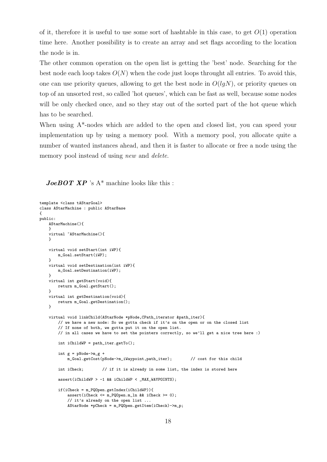of it, therefore it is useful to use some sort of hashtable in this case, to get  $O(1)$  operation time here. Another possibility is to create an array and set flags according to the location the node is in.

The other common operation on the open list is getting the 'best' node. Searching for the best node each loop takes  $O(N)$  when the code just loops throught all entries. To avoid this, one can use priority queues, allowing to get the best node in  $O(lqN)$ , or priority queues on top of an unsorted rest, so called 'hot queues', which can be fast as well, because some nodes will be only checked once, and so they stay out of the sorted part of the hot queue which has to be searched.

When using  $A^*$ -nodes which are added to the open and closed list, you can speed your implementation up by using a memory pool. With a memory pool, you allocate quite a number of wanted instances ahead, and then it is faster to allocate or free a node using the memory pool instead of using *new* and *delete*.

**JoeBOT XP** 's  $A^*$  machine looks like this :

```
template <class tAStarGoal>
class AStarMachine : public AStarBase
{
public:
   AStarMachine(){
   }
   virtual ~AStarMachine(){
   }
   virtual void setStart(int iWP){
       m_Goal.setStart(iWP);
   }
   virtual void setDestination(int iWP){
       m_Goal.setDestination(iWP);
   }
   virtual int getStart(void){
       return m_Goal.getStart();
   }
   virtual int getDestination(void){
       return m_Goal.getDestination();
   \lambdavirtual void linkChild(AStarNode *pNode,CPath_iterator &path_iter){
        // we have a new node: So we gotta check if it's on the open or on the closed list
        // If none of both, we gotta put it on the open list.
        // in all cases we have to set the pointers correctly, so we'll get a nice tree here :)
       int iChildWP = path_iter.getTo();
        int g = pNode->m_g +m_Goal.getCost(pNode->m_iWaypoint,path_iter); // cost for this child
        int iCheck; // if it is already in some list, the index is stored here
        assert(iChildWP > -1 && iChildWP < _MAX_WAYPOINTS);
        if(iCheck = m_PQOpen.getIndex(iChildWP)){
            assert(iCheck <= m_PQOpen.m_ln && iCheck >= 0);
            // it's already on the open list ...
           AStarNode * pCheck = m_PQOpen.getItem(iCheck) - \ge m_p;
```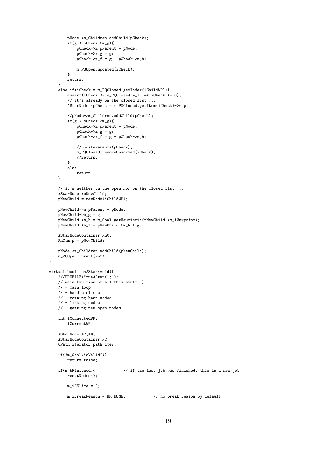```
pNode->m_Children.addChild(pCheck);
        if(g < pCheck->m_g){
            pCheck->m_pParent = pNode;
            pCheck->m_g = g;pCheck->m_f = g + pCheck->m_h;m_PQOpen.updated(iCheck);
        }
        return;
    }
    else if(iCheck = m_PQClosed.getIndex(iChildWP)){
        assert(iCheck <= m_PQClosed.m_ln && iCheck >= 0);
        // it's already on the closed list ...
        AStarNode *pCheck = m_PQClosed.getItem(iCheck)->m_p;
        //pNode->m_Children.addChild(pCheck);
        if(g < pCheck->m_g){
            pCheck->m_pParent = pNode;pCheck->m_g = g;pCheck->m_f = g + pCheck->m_h;//updateParents(pCheck);
            m_PQClosed.removeUnsorted(iCheck);
            //return;
        }
        else
            return;
    }
    // it's neither on the open nor on the closed list ...
    AStarNode *pNewChild;
    pNewChild = newNode(iChildWP);
    pNewChild->m_pParent = pNode;
    pNewChild->m_g = g;pNewChild->m_h = m_Goal.getHeuristic(pNewChild->m_iWaypoint);
    pNewChild~>m_f = pNewChild~>m_h + g;
    AStarNodeContainer PnC;
    PnC.m_p = pNewChild;
    pNode->m_Children.addChild(pNewChild);
    m_PQOpen.insert(PnC);
}
virtual bool runAStar(void){
    ///PROFILE("runAStar();");
    // main function of all this stuff :)
    // - main loop\frac{1}{\sqrt{2}} - handle slices
    // - getting best nodes
    // - linking nodes
    // - getting new open nodes
    int iConnectedWP,
        iCurrentWP;
    AStarNode *P,*B;
    AStarNodeContainer PC;
    CPath_iterator path_iter;
    if(!m_Goal.isValid())
        return false;
    if(m_bFinished){ // if the last job was finished, this is a new job
        resetNodes();
        m_iCSlice = 0;
        m_iBreakReason = BR_NONE; // no break reason by default
```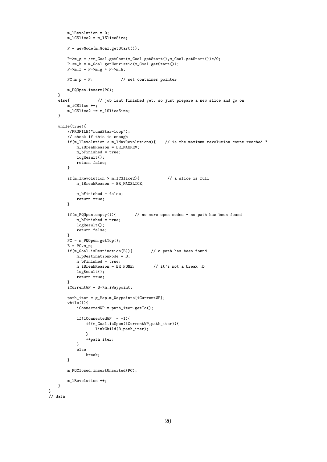```
m_lRevolution = 0;
        m_lCSlice2 = m_lSliceSize;
        P = newNode(m_Goal.getStart());
        P->m g = /*m Goal.getCost(m Goal.getStart(),m Goal.getStart())*/0;
        P->m_h = m_Goal.getHeuristic(m_Goal.getStart());
        P->m_f = P->m_g + P->m_h;PC.m_p = P; // set container pointer
        m_PQOpen.insert(PC);
    }<br>else{
                    \frac{1}{2} job isnt finished yet, so just prepare a new slice and go on
        m_iCSlice ++;
        m_lCSlice2 += m_lSliceSize;
    }
    while(true){
       //PROFILE("runAStar-loop");
        // check if this is enough<br>if(m_lRevolution > m_lMaxRevolutions){
                                                  \frac{1}{1} is the maximum revolution count reached ?
            -<br>m_iBreakReason = BR_MAXREV;
            m_bFinished = true;
            logResult();
            return false;
        }
        if(m_lRevolution > m_lCSlice2){ \frac{1}{2} // a slice is full
            m_iBreakReason = BR_MAXSLICE;
            m_bFinished = false;
            return true;
        }
        if(m_PQOpen.empty()){ // no more open nodes - no path has been found
            m_bFinished = true;
            logResult();
            return false;
        }
        PC = m_PQOpen.getTop();
        B = PC.m_p;if(m_Goal.isDestination(B)){ // a path has been found
           m_pDestinationNode = B;
            m_bFinished = true;
            m_iiBreakReason = BR_NONE; // it's not a break :D
            logResult();
            return true;
        }
        iCurrentWP = B->m_iWaypoint;
        path_iter = g_Map.m_Waypoints[iCurrentWP];
        while(1){
           iComectedWP = path\_iter.getTo();if(iConnectedWP != -1){
                if(m_Goal.isOpen(iCurrentWP,path_iter)){
                    linkChild(B,path_iter);
                \mathbf{I}++path_iter;
            }
            else
                break;
        }
        m_PQClosed.insertUnsorted(PC);
        m_lRevolution ++;
    }
// data
```
}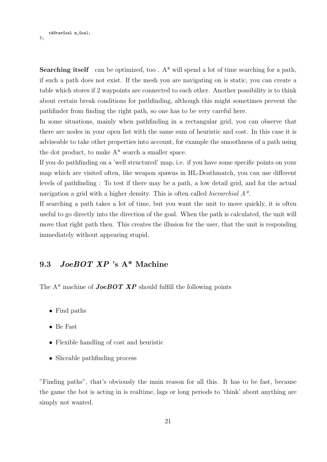tAStarGoal m\_Goal; };

**Searching itself** can be optimized, too .  $A^*$  will spend a lot of time searching for a path, if such a path does not exist. If the mesh you are navigating on is static, you can create a table which stores if 2 waypoints are connected to each other. Another possibility is to think about certain break conditions for pathfinding, although this might sometimes prevent the pathfinder from finding the right path, so one has to be very careful here.

In some situations, mainly when pathfinding in a rectangular grid, you can observe that there are nodes in your open list with the same sum of heuristic and cost. In this case it is adviseable to take other properties into account, for example the smoothness of a path using the dot product, to make A\* search a smaller space.

If you do pathfinding on a 'well structured' map, i.e. if you have some specific points on your map which are visited often, like weapon spawns in HL-Deathmatch, you can use different levels of pathfinding : To test if there may be a path, a low detail grid, and for the actual navigation a grid with a higher density. This is often called *hierarchial*  $A^*$ .

If searching a path takes a lot of time, but you want the unit to move quickly, it is often useful to go directly into the direction of the goal. When the path is calculated, the unit will move that right path then. This creates the illusion for the user, that the unit is responding immediately without appearing stupid.

#### 9.3 JoeBOT XP 's A\* Machine

The  $A^*$  machine of **JoeBOT XP** should fulfill the following points

- Find paths
- Be Fast
- Flexible handling of cost and heuristic
- Sliceable pathfinding process

"Finding paths", that's obviously the main reason for all this. It has to be fast, because the game the bot is acting in is realtime, lags or long periods to 'think' about anything are simply not wanted.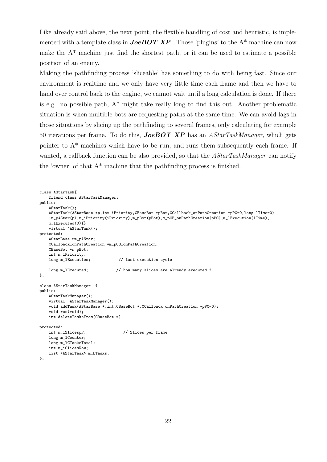Like already said above, the next point, the flexible handling of cost and heuristic, is implemented with a template class in **JoeBOT XP**. Those 'plugins' to the  $A^*$  machine can now make the  $A^*$  machine just find the shortest path, or it can be used to estimate a possible position of an enemy.

Making the pathfinding process 'sliceable' has something to do with being fast. Since our environment is realtime and we only have very little time each frame and then we have to hand over control back to the engine, we cannot wait until a long calculation is done. If there is e.g. no possible path, A\* might take really long to find this out. Another problematic situation is when multible bots are requesting paths at the same time. We can avoid lags in those situations by slicing up the pathfinding to several frames, only calculating for example 50 iterations per frame. To do this, **JoeBOT XP** has an  $AStarTaskManager$ , which gets pointer to A\* machines which have to be run, and runs them subsequently each frame. If wanted, a callback function can be also provided, so that the *AStarTaskManager* can notify the 'owner' of that  $A^*$  machine that the pathfinding process is finished.

```
class AStarTask{
   friend class AStarTaskManager;
public:
   AStarTask();
    AStarTask(AStarBase *p,int iPriority,CBaseBot *pBot,CCallback_onPathCreation *pPC=0,long lTime=0)
    :m_pAStar(p),m_iPriority(iPriority),m_pBot(pBot),m_pCB_onPathCreation(pPC),m_lExecution(lTime),
   m_lExecuted(0){}
   virtual ~AStarTask();
protected:
   AStarBase *m_pAStar;
   CCallback_onPathCreation *m_pCB_onPathCreation;
    CBaseBot *m_pBot;
   int m_iPriority;
   long m_lExecution; // last execution cycle
   long m_lExecuted; \frac{1}{\sqrt{2}} how many slices are already executed ?
};
class AStarTaskManager {
public:
   AStarTaskManager();
    virtual ~AStarTaskManager();
    void addTask(AStarBase *,int,CBaseBot *,CCallback_onPathCreation *pPC=0);
   void run(void);
    int deleteTasksFrom(CBaseBot *);
protected:<br>int m_iSlicespF;
                                    // Slices per frame
   long m_1Counter;
   long m_lCTasksTotal;
    int m_iSlicesNow:
   list <AStarTask> m_LTasks;
};
```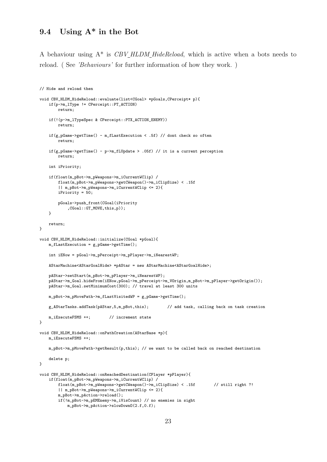#### 9.4 Using A\* in the Bot

A behaviour using  $A^*$  is  $CBV$ -HLDM HideReload, which is active when a bots needs to reload. ( See 'Behaviours' for further information of how they work. )

```
// Hide and reload then
void CBV_HLDM_HideReload::evaluate(list<CGoal> *pGoals,CPerceipt* p){
    if(p->m_lType != CPerceipt::PT_ACTION)
       return;
    if(!(p->m_lTypeSpec & CPerceipt::PTX_ACTION_ENEMY))
       return;
    if(g_pGame->getTime() - m_fLastExecution < .5f) // dont check so often
        return;
    if(g_pGame->getTime() - p->m_fLUpdate > .05f) // it is a current perception
        return;
    int iPriority;
    if(float(m_pBot->m_pWeapons->m_iCurrentWClip) /
        float(m_pBot->m_pWeapons->getCWeapon()->m_iClipSize) < .15f
        || m_pBot->m_pWeapons->m_iCurrentWClip <= 2){
       iPriority = 50;
       pGoals->push_front(CGoal(iPriority
           ,CGoal::GT_MOVE,this,p));
   \rightarrowreturn;
}
void CBV_HLDM_HideReload::initialize(CGoal *pGoal){
    m_fLastExecution = g_pGame->getTime();
    int iENow = pGoal->m_pPerceipt->m_pPlayer->m_iNearestWP;
    AStarMachine<AStarGoalHide> *pAStar = new AStarMachine<AStarGoalHide>;
   pAStar->setStart(m_pBot->m_pPlayer->m_iNearestWP);
    pAStar->m_Goal.hideFrom(iENow,pGoal->m_pPerceipt->m_VOrigin,m_pBot->m_pPlayer->getOrigin());
    pAStar->m_Goal.setMinimumCost(300); // travel at least 300 units
   m_pBot->m_pMovePath->m_fLastVisitedWP = g_pGame->getTime();
    g_AStarTasks.addTask(pAStar,5,m_pBot,this); // add task, calling back on task creation
   m_iExecuteFSMS ++; // increment state
}
void CBV_HLDM_HideReload::onPathCreation(AStarBase *p){
   m_iExecuteFSMS ++;
   m_pBot->m_pMovePath->getResult(p,this); // we want to be called back on reached destination
   delete p;
}
void CBV_HLDM_HideReload::onReachedDestination(CPlayer *pPlayer){
    if(float(m_pBot->m_pWeapons->m_iCurrentWClip) /
        float(m_pBot->m_pWeapons->getCWeapon()->m_iClipSize) < .15f // still right ?!
       || m_pBot->m_pWeapons->m_iCurrentWClip <= 2){
       m_pBot->m_pAction->reload();
       if(!m_pBot->m_pEMEnemy->m_iVisCount) // no enemies in sight
            m_pBot->m_pAction->slowDownO(2.f,0.f);
```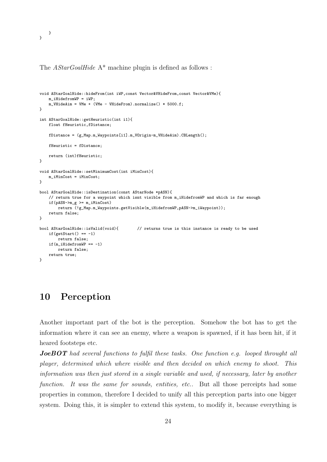}

}

The *AStarGoalHide* A<sup>\*</sup> machine plugin is defined as follows :

```
void AStarGoalHide::hideFrom(int iWP,const Vector&VHideFrom,const Vector&VMe){
   m_iHidefromWP = iWP;
   m_VWhideAim = VMe + (VMe - VHideFrom).normalize() * 5000.f;
}
int AStarGoalHide::getHeuristic(int i1){
    float fHeuristic,fDistance;
    fDistance = (g_Map.m_Waypoints[i1].m_VOrigin-m_VHideAim).CBLength();
    fHeuristic = fDistance;
   return (int)fHeuristic;
}
void AStarGoalHide::setMinimumCost(int iMinCost){
   m_iMinCost = iMinCost;
}
bool AStarGoalHide::isDestination(const AStarNode *pASN){
    // return true for a waypoint which isnt visible from m_iHidefromWP and which is far enough
    if(pASN->m_g >= m_iMinCost)
       return (!g_Map.m_Waypoints.getVisible(m_iHidefromWP,pASN->m_iWaypoint));
   return false;
}
bool AStarGoalHide::isValid(void){ // returns true is this instance is ready to be used
    if(getStart() == -1)<sub>.</sub><br>return false:
    if(m_iHidefromWP == -1)return false;
   return true;
}
```
#### 10 Perception

Another important part of the bot is the perception. Somehow the bot has to get the information where it can see an enemy, where a weapon is spawned, if it has been hit, if it heared footsteps etc.

**JoeBOT** had several functions to fulfil these tasks. One function e.g. looped throught all player, determined which where visible and then decided on which enemy to shoot. This information was then just stored in a single variable and used, if necessary, later by another function. It was the same for sounds, entities, etc.. But all those perceipts had some properties in common, therefore I decided to unify all this perception parts into one bigger system. Doing this, it is simpler to extend this system, to modify it, because everything is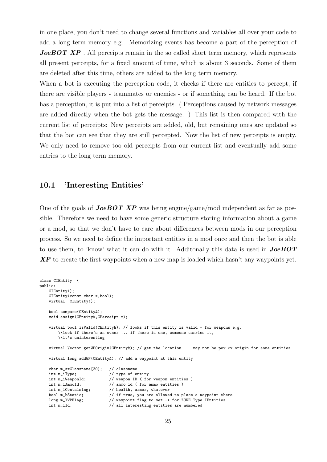in one place, you don't need to change several functions and variables all over your code to add a long term memory e.g.. Memorizing events has become a part of the perception of **JoeBOT XP**. All perceipts remain in the so called short term memory, which represents all present perceipts, for a fixed amount of time, which is about 3 seconds. Some of them are deleted after this time, others are added to the long term memory.

When a bot is executing the perception code, it checks if there are entities to percept, if there are visible players - teammates or enemies - or if something can be heard. If the bot has a perception, it is put into a list of perceipts. ( Perceptions caused by network messages are added directly when the bot gets the message. ) This list is then compared with the current list of perceipts: New perceipts are added, old, but remaining ones are updated so that the bot can see that they are still percepted. Now the list of new perceipts is empty. We only need to remove too old perceipts from our current list and eventually add some entries to the long term memory.

#### 10.1 'Interesting Entities'

class CIEntity {

One of the goals of **JoeBOT XP** was being engine/game/mod independent as far as possible. Therefore we need to have some generic structure storing information about a game or a mod, so that we don't have to care about differences between mods in our perception process. So we need to define the important entities in a mod once and then the bot is able to use them, to 'know' what it can do with it. Additonally this data is used in  $JoeBOT$  $\boldsymbol{XP}$  to create the first waypoints when a new map is loaded which hasn't any waypoints yet.

```
public:
    CIEntity();
    CIEntity(const char *,bool);
    virtual ~CIEntity();
    bool compare(CEntity&);
    void assign(CEntity&,CPerceipt *);
    virtual bool isValid(CEntity&); // looks if this entity is valid - for weapons e.g.
        \\look if there's an owner ... if there is one, someone carries it,
        \\it's uninteresting
    virtual Vector getWPOrigin(CEntity&); // get the location ... may not be pev->v.origin for some entities
    virtual long addWP(CEntity&); // add a waypoint at this entity
    char m_szClassname[30]; // classname
    int m_iType; // type of entity
    int m_iWeaponId; // weapon ID ( for weapon entities )
    int m_iAmmoId; // ammo id ( for ammo entities )
    int m_iContaining; // health, armor, whatever<br>bool m_bStatic; // if true, you are allowe
                                \frac{1}{1} if true, you are allowed to place a waypoint there
    long m_lWPFlag; \frac{1}{10} // waypoint flag to set -> for ZONE Type IEntities int m_iId; \frac{1}{10} // all interesting entities are numbered
                                // all interesting entities are numbered
```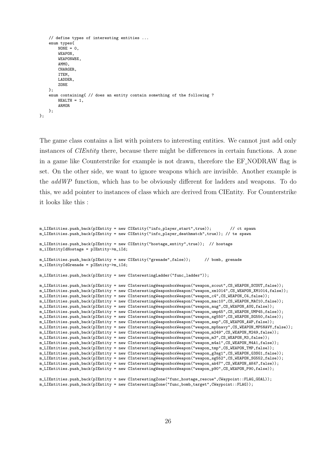```
// define types of interesting entities ...
    enum types{
        NONE = 0WEAPON,
        WEAPONWBX,
        AMMO,
        CHARGER,
        ITEM,
        LADDER,
        ZONE
   };
    enum containing{ // does an entity contain something of the following ?
        HEAI.TH = 1.
        ARMOR
   };
};
```
The game class contains a list with pointers to interesting entities. We cannot just add only instances of CIEntity there, because there might be differences in certain functions. A zone in a game like Counterstrike for example is not drawn, therefore the EF NODRAW flag is set. On the other side, we want to ignore weapons which are invisible. Another example is the addWP function, which has to be obviously different for ladders and weapons. To do this, we add pointer to instances of class which are derived from CIEntity. For Counterstrike it looks like this :

```
m_LIEntities.push_back(pIEntity = new CIEntity("info_player_start",true)); // ct spawn
m_LIEntities.push_back(pIEntity = new CIEntity("info_player_deathmatch",true)); // te spawn
m_LIEntities.push_back(pIEntity = new CIEntity("hostage_entity",true)); // hostage
m_iIEntityIdHostage = pIEntity->m_iId;
m_LIEntities.push_back(pIEntity = new CIEntity("grenade",false)); // bomb, grenade
m_iIEntityIdGrenade = pIEntity->m_iId;
m_LIEntities.push_back(pIEntity = new CInterestingLadder("func_ladder"));
m_LIEntities.push_back(pIEntity = new CInterestingWeaponboxWeapon("weapon_scout",CS_WEAPON_SCOUT,false));
m_LIEntities.push_back(pIEntity = new CInterestingWeaponboxWeapon("weapon_xm1014",CS_WEAPON_XM1014,false));
m_LIEntities.push_back(pIEntity = new CInterestingWeaponboxWeapon("weapon_c4",CS_WEAPON_C4,false));
m_LIEntities.push_back(pIEntity = new CInterestingWeaponboxWeapon("weapon_mac10",CS_WEAPON_MAC10,false));
m_LIEntities.push_back(pIEntity = new CInterestingWeaponboxWeapon("weapon_aug",CS_WEAPON_AUG,false));
m_LIEntities.push_back(pIEntity = new CInterestingWeaponboxWeapon("weapon_ump45",CS_WEAPON_UMP45,false));
m_LIEntities.push_back(pIEntity = new CInterestingWeaponboxWeapon("weapon_sg550",CS_WEAPON_SG550,false));
m_LIEntities.push_back(pIEntity = new CInterestingWeaponboxWeapon("weapon_awp",CS_WEAPON_AWP,false));
m_LIEntities.push_back(pIEntity = new CInterestingWeaponboxWeapon("weapon_mp5navy",CS_WEAPON_MP5NAVY,false));
m_LIEntities.push_back(pIEntity = new CInterestingWeaponboxWeapon("weapon_m249",CS_WEAPON_M249,false));
m_LIEntities.push_back(pIEntity = new CInterestingWeaponboxWeapon("weapon_m3",CS_WEAPON_M3,false));
m_LIEntities.push_back(pIEntity = new CInterestingWeaponboxWeapon("weapon_m4a1",CS_WEAPON_M4A1,false));
m_LIEntities.push_back(pIEntity = new CInterestingWeaponboxWeapon("weapon_tmp",CS_WEAPON_TMP,false));
m_LIEntities.push_back(pIEntity = new CInterestingWeaponboxWeapon("weapon_g3sg1",CS_WEAPON_G3SG1,false));
m_LIEntities.push_back(pIEntity = new CInterestingWeaponboxWeapon("weapon_sg552",CS_WEAPON_SG552,false));
m_LIEntities.push_back(pIEntity = new CInterestingWeaponboxWeapon("weapon_ak47",CS_WEAPON_AK47,false));
m_LIEntities.push_back(pIEntity = new CInterestingWeaponboxWeapon("weapon_p90",CS_WEAPON_P90,false));
m_LIEntities.push_back(pIEntity = new CInterestingZone("func_hostage_rescue",CWaypoint::FLAG_GOAL));
m_LIEntities.push_back(pIEntity = new CInterestingZone("func_bomb_target",CWaypoint::FLAG));
```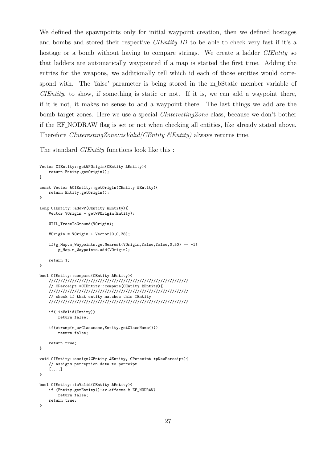We defined the spawnpoints only for initial waypoint creation, then we defined hostages and bombs and stored their respective CIEntity ID to be able to check very fast if it's a hostage or a bomb without having to compare strings. We create a ladder *CIEntity* so that ladders are automatically waypointed if a map is started the first time. Adding the entries for the weapons, we additionally tell which id each of those entities would correspond with. The 'false' parameter is being stored in the m bStatic member variable of CIEntity, to show, if something is static or not. If it is, we can add a waypoint there, if it is not, it makes no sense to add a waypoint there. The last things we add are the bomb target zones. Here we use a special CInterestingZone class, because we don't bother if the EF NODRAW flag is set or not when checking all entities, like already stated above. Therefore *CInterestingZone::isValid(CEntity &Entity)* always returns true.

The standard *CIEntity* functions look like this :

```
Vector CIEntity::getWPOrigin(CEntity &Entity){
   return Entity.getOrigin();
}
const Vector &CIEntity::getOrigin(CEntity &Entity){
   return Entity.getOrigin();
}
long CIEntity::addWP(CEntity &Entity){
   Vector VOrigin = getWPOrigin(Entity);
   UTIL TraceToGround(VOrigin);
   V0rigin = V0rigin + Vector(0,0,38);if(g_Map.m_Wapoints.getNearest(VOrigin, false, false, 0, 50) == -1)g_Map.m_Waypoints.add(VOrigin);
   return 1;
}
bool CIEntity::compare(CEntity &Entity){
    ////////////////////////////////////////////////////////////
    // CPerceipt *CIEntity::compare(CEntity &Entity){
   ////////////////////////////////////////////////////////////
   // check if that entity matches this IEntity
   ////////////////////////////////////////////////////////////
   if(!isValid(Entity))
       return false;
   if(strcmp(m_szClassname,Entity.getClassName()))
       return false;
   return true;
}
void CIEntity::assign(CEntity &Entity, CPerceipt *pNewPerceipt){
    // assigns perception data to perceipt.
    [....]
}
bool CIEntity::isValid(CEntity &Entity){
   if (Entity.getEntity()->v.effects & EF_NODRAW)
       return false;
   return true;
}
```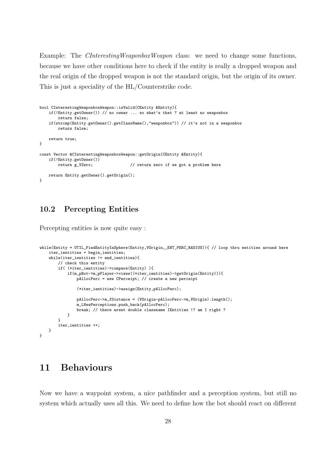Example: The *CInterestingWeaponboxWeapon* class: we need to change some functions, because we have other conditions here to check if the entity is really a dropped weapon and the real origin of the dropped weapon is not the standard origin, but the origin of its owner. This is just a speciality of the HL/Counterstrike code.

```
bool CInterestingWeaponboxWeapon::isValid(CEntity &Entity){
    if(!Entity.getOwner()) // no owner ... so what's that ? at least no weaponbox
        return false;
    if(strcmp(Entity.getOwner().getClassName(),"weaponbox")) // it's not in a weaponbox
        return false;
    return true;
}
const Vector &CInterestingWeaponboxWeapon::getOrigin(CEntity &Entity){
    if(!Entity.getOwner())
                                        \frac{1}{2} return zero if we got a problem here
    return Entity.getOwner().getOrigin();
}
```
#### 10.2 Percepting Entities

Percepting entities is now quite easy :

```
while(Entity = UTIL_FindEntityInSphere(Entity,VOrigin,_ENT_PERC_RADIUS)){ // loop thru entities around here
    iter_ientities = begin_ientities;
    while(iter_ientities != end_ientities){
        // check this entity
        if( (*iter_ientities)->compare(Entity) ){
            if(m_pBot->m_pPlayer->views((*iter_ientities)->getOrigin(Entity))){
                pAllocPerc = new CPerceipt; // create a new perceipt
                (*iter_ientities)->assign(Entity,pAllocPerc);
                pAllocPerc->m_fDistance = (VOrigin-pAllocPerc->m_VOrigin).length();
                m_LNewPerceptions.push_back(pAllocPerc);
                break; // there arent double classname IEntities !? am I right ?
            }
        }
        iter_ientities ++;
   }
}
```
#### 11 Behaviours

Now we have a waypoint system, a nice pathfinder and a perception system, but still no system which actually uses all this. We need to define how the bot should react on different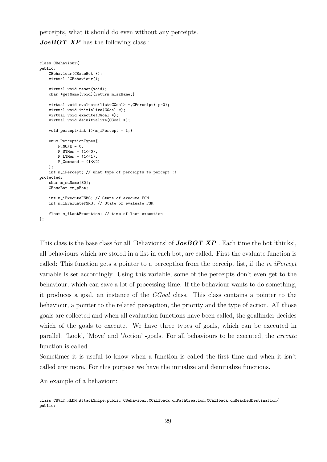perceipts, what it should do even without any perceipts.

**JoeBOT XP** has the following class:

```
class CBehaviour{
public:
   CBehaviour(CBaseBot *);
    virtual "CBehaviour();
    virtual void reset(void);
   char *getName(void){return m_szName;}
    virtual void evaluate(list<CGoal> *,CPerceipt* p=0);
   virtual void initialize(CGoal *);
    virtual void execute(CGoal *);
    virtual void deinitialize(CGoal *);
   void percept(int i){m_iPercept = i;}enum PerceptionTypes{
        P_NONE = 0,
        P STMem = (1<0).
        P_LTMem = (1<<1),
        P_{\text{command}} = (1 \leq 2)\lambdaint m_iPercept; // what type of perceipts to percept :)
protected:
    char m_szName[80];
    CBaseBot *m_pBot;
    int m_iExecuteFSMS; // State of execute FSM
    int m_iEvaluateFSMS; // State of evaluate FSM
   float m_fLastExecution; // time of last execution
};
```
This class is the base class for all 'Behaviours' of *JoeBOT XP*. Each time the bot 'thinks', all behaviours which are stored in a list in each bot, are called. First the evaluate function is called: This function gets a pointer to a perception from the perceipt list, if the  $m_{\perp}$  iPercept variable is set accordingly. Using this variable, some of the perceipts don't even get to the behaviour, which can save a lot of processing time. If the behaviour wants to do something, it produces a goal, an instance of the CGoal class. This class contains a pointer to the behaviour, a pointer to the related perception, the priority and the type of action. All those goals are collected and when all evaluation functions have been called, the goalfinder decides which of the goals to execute. We have three types of goals, which can be executed in parallel: 'Look', 'Move' and 'Action' -goals. For all behaviours to be executed, the execute function is called.

Sometimes it is useful to know when a function is called the first time and when it isn't called any more. For this purpose we have the initialize and deinitialize functions.

An example of a behaviour:

class CBVLT\_HLDM\_AttackSnipe:public CBehaviour,CCallback\_onPathCreation,CCallback\_onReachedDestination{ public: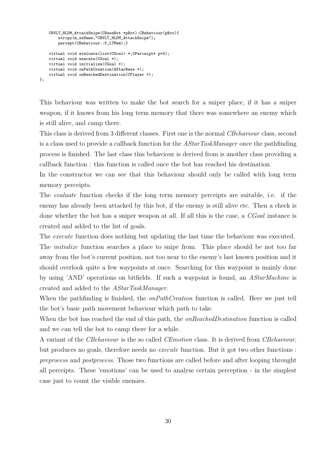```
CBVLT_HLDM_AttackSnipe(CBaseBot *pBot):CBehaviour(pBot){
        strcpy(m_szName,"CBVLT_HLDM_AttackSnipe");
       percept(CBehaviour::P_LTMem);}
   virtual void evaluate(list<CGoal> *,CPerceipt* p=0);
   virtual void execute(CGoal *);
   virtual void initialize(CGoal *);
   virtual void onPathCreation(AStarBase *);
    virtual void onReachedDestination(CPlayer *);
};
```
This behaviour was written to make the bot search for a sniper place, if it has a sniper weapon, if it knows from his long term memory that there was somewhere an enemy which is still alive, and camp there.

This class is derived from 3 different classes. First one is the normal CBehaviour class, second is a class used to provide a callback function for the AStarTaskManager once the pathfinding process is finished. The last class this behaviour is derived from is another class providing a callback function : this function is called once the bot has reached his destination.

In the constructor we can see that this behaviour should only be called with long term memory perceipts.

The evaluate function checks if the long term memory perceipts are suitable, i.e. if the enemy has already been attacked by this bot, if the enemy is still alive etc. Then a check is done whether the bot has a sniper weapon at all. If all this is the case, a *CGoal* instance is created and added to the list of goals.

The *execute* function does nothing but updating the last time the behaviour was executed.

The *initialize* function searches a place to snipe from. This place should be not too far away from the bot's current position, not too near to the enemy's last known position and it should overlook quite a few waypoints at once. Searching for this waypoint is mainly done by using 'AND' operations on bitfields. If such a waypoint is found, an AStarMachine is created and added to the AStarTaskManager.

When the pathfinding is finished, the *onPathCreation* function is called. Here we just tell the bot's basic path movement behaviour which path to take.

When the bot has reached the end of this path, the *onReachedDestination* function is called and we can tell the bot to camp there for a while.

A variant of the CBehaviour is the so called CEmotion class. It is derived from CBehaviour, but produces no goals, therefore needs no execute function. But it got two other functions : preprocess and postprocess. Those two functions are called before and after looping throught all perceipts. These 'emotions' can be used to analyse certain perception - in the simplest case just to count the visible enemies.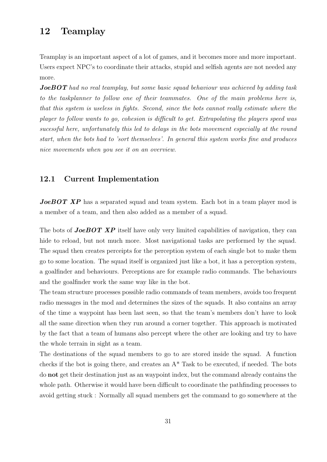## 12 Teamplay

Teamplay is an important aspect of a lot of games, and it becomes more and more important. Users expect NPC's to coordinate their attacks, stupid and selfish agents are not needed any more.

**JoeBOT** had no real teamplay, but some basic squad behaviour was achieved by adding task to the taskplanner to follow one of their teammates. One of the main problems here is, that this system is useless in fights. Second, since the bots cannot really estimate where the player to follow wants to go, cohesion is difficult to get. Extrapolating the players speed was sucessful here, unfortunately this led to delays in the bots movement especially at the round start, when the bots had to 'sort themselves'. In general this system works fine and produces nice movements when you see it on an overview.

#### 12.1 Current Implementation

JoeBOT XP has a separated squad and team system. Each bot in a team player mod is a member of a team, and then also added as a member of a squad.

The bots of **JoeBOT XP** itself have only very limited capabilities of navigation, they can hide to reload, but not much more. Most navigational tasks are performed by the squad. The squad then creates perceipts for the perception system of each single bot to make them go to some location. The squad itself is organized just like a bot, it has a perception system, a goalfinder and behaviours. Perceptions are for example radio commands. The behaviours and the goalfinder work the same way like in the bot.

The team structure processes possible radio commands of team members, avoids too frequent radio messages in the mod and determines the sizes of the squads. It also contains an array of the time a waypoint has been last seen, so that the team's members don't have to look all the same direction when they run around a corner together. This approach is motivated by the fact that a team of humans also percept where the other are looking and try to have the whole terrain in sight as a team.

The destinations of the squad members to go to are stored inside the squad. A function checks if the bot is going there, and creates an A\* Task to be executed, if needed. The bots do not get their destination just as an waypoint index, but the command already contains the whole path. Otherwise it would have been difficult to coordinate the pathfinding processes to avoid getting stuck : Normally all squad members get the command to go somewhere at the